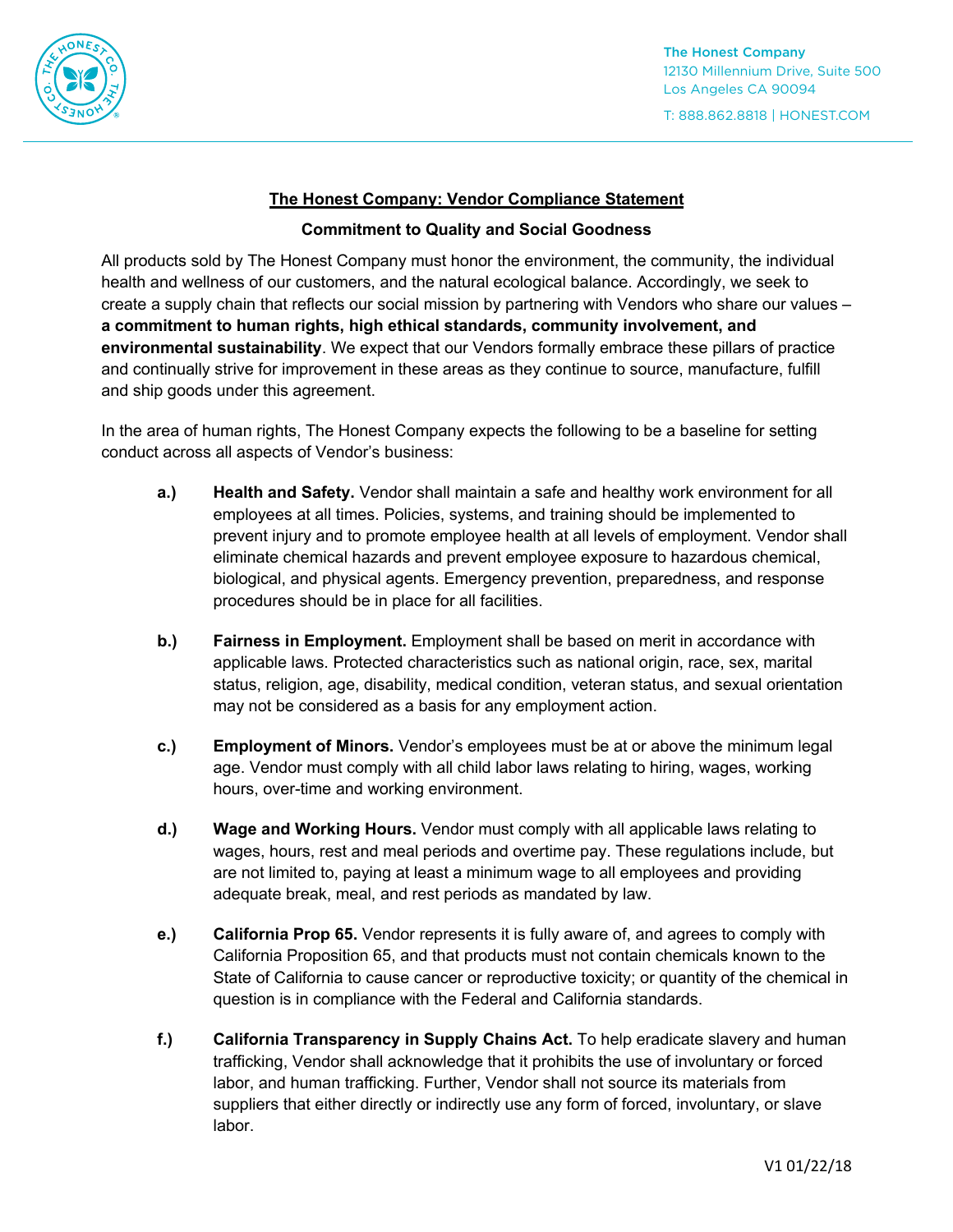

T: 888.862.8818 | HONEST.COM

## **The Honest Company: Vendor Compliance Statement**

## **Commitment to Quality and Social Goodness**

All products sold by The Honest Company must honor the environment, the community, the individual health and wellness of our customers, and the natural ecological balance. Accordingly, we seek to create a supply chain that reflects our social mission by partnering with Vendors who share our values – **a commitment to human rights, high ethical standards, community involvement, and environmental sustainability**. We expect that our Vendors formally embrace these pillars of practice and continually strive for improvement in these areas as they continue to source, manufacture, fulfill and ship goods under this agreement.

In the area of human rights, The Honest Company expects the following to be a baseline for setting conduct across all aspects of Vendor's business:

- **a.) Health and Safety.** Vendor shall maintain a safe and healthy work environment for all employees at all times. Policies, systems, and training should be implemented to prevent injury and to promote employee health at all levels of employment. Vendor shall eliminate chemical hazards and prevent employee exposure to hazardous chemical, biological, and physical agents. Emergency prevention, preparedness, and response procedures should be in place for all facilities.
- **b.)** Fairness in Employment. Employment shall be based on merit in accordance with applicable laws. Protected characteristics such as national origin, race, sex, marital status, religion, age, disability, medical condition, veteran status, and sexual orientation may not be considered as a basis for any employment action.
- **c.) Employment of Minors.** Vendor's employees must be at or above the minimum legal age. Vendor must comply with all child labor laws relating to hiring, wages, working hours, over-time and working environment.
- **d.) Wage and Working Hours.** Vendor must comply with all applicable laws relating to wages, hours, rest and meal periods and overtime pay. These regulations include, but are not limited to, paying at least a minimum wage to all employees and providing adequate break, meal, and rest periods as mandated by law.
- **e.) California Prop 65.** Vendor represents it is fully aware of, and agrees to comply with California Proposition 65, and that products must not contain chemicals known to the State of California to cause cancer or reproductive toxicity; or quantity of the chemical in question is in compliance with the Federal and California standards.
- **f.) California Transparency in Supply Chains Act.** To help eradicate slavery and human trafficking, Vendor shall acknowledge that it prohibits the use of involuntary or forced labor, and human trafficking. Further, Vendor shall not source its materials from suppliers that either directly or indirectly use any form of forced, involuntary, or slave labor.